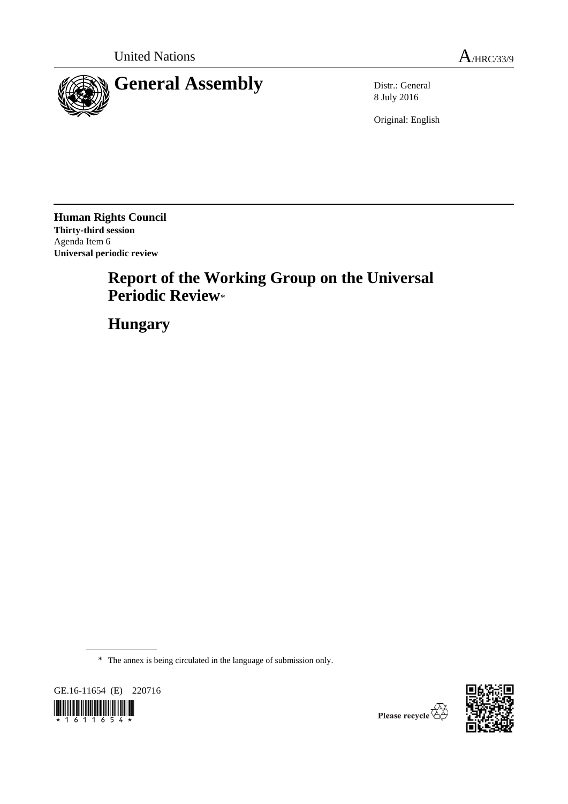

8 July 2016

Original: English

**Human Rights Council Thirty-third session** Agenda Item 6 **Universal periodic review**

# **Report of the Working Group on the Universal Periodic Review**\*

**Hungary**

\* The annex is being circulated in the language of submission only.





Please recycle  $\overline{\mathbb{Q}}$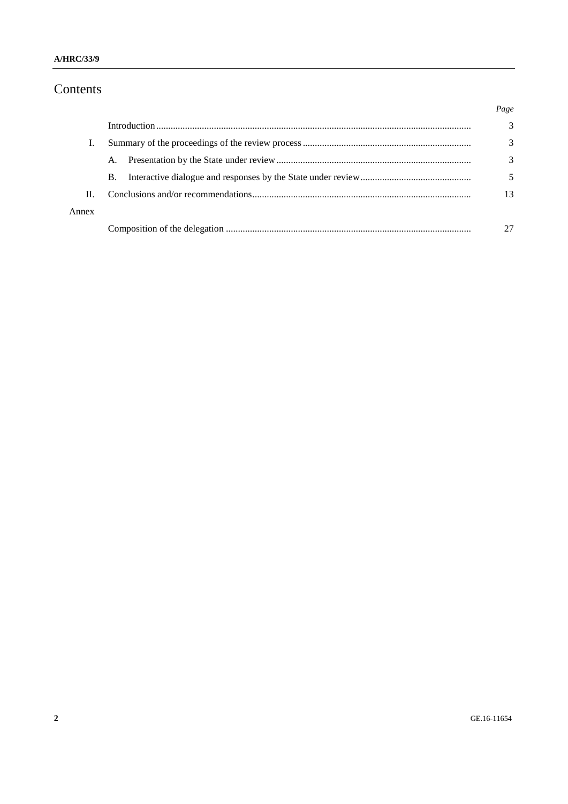# Contents

|       |           | Page |
|-------|-----------|------|
|       |           | 3    |
|       |           | 3    |
|       | A.        | 3    |
|       | <b>B.</b> |      |
| Н.    |           | 13   |
| Annex |           |      |
|       |           |      |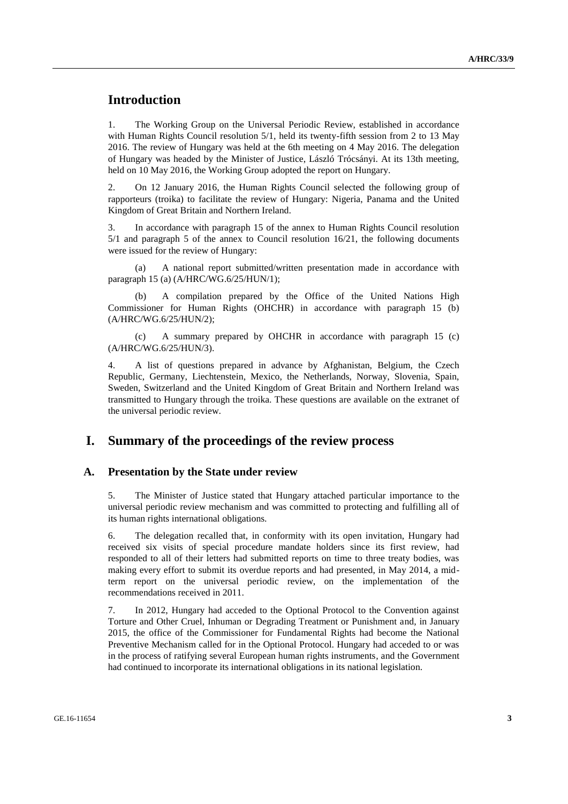# **Introduction**

1. The Working Group on the Universal Periodic Review, established in accordance with Human Rights Council resolution 5/1, held its twenty-fifth session from 2 to 13 May 2016. The review of Hungary was held at the 6th meeting on 4 May 2016. The delegation of Hungary was headed by the Minister of Justice, László Trócsányi. At its 13th meeting, held on 10 May 2016, the Working Group adopted the report on Hungary.

2. On 12 January 2016, the Human Rights Council selected the following group of rapporteurs (troika) to facilitate the review of Hungary: Nigeria, Panama and the United Kingdom of Great Britain and Northern Ireland.

3. In accordance with paragraph 15 of the annex to Human Rights Council resolution 5/1 and paragraph 5 of the annex to Council resolution 16/21, the following documents were issued for the review of Hungary:

(a) A national report submitted/written presentation made in accordance with paragraph 15 (a) (A/HRC/WG.6/25/HUN/1);

(b) A compilation prepared by the Office of the United Nations High Commissioner for Human Rights (OHCHR) in accordance with paragraph 15 (b) (A/HRC/WG.6/25/HUN/2);

(c) A summary prepared by OHCHR in accordance with paragraph 15 (c) (A/HRC/WG.6/25/HUN/3).

4. A list of questions prepared in advance by Afghanistan, Belgium, the Czech Republic, Germany, Liechtenstein, Mexico, the Netherlands, Norway, Slovenia, Spain, Sweden, Switzerland and the United Kingdom of Great Britain and Northern Ireland was transmitted to Hungary through the troika. These questions are available on the extranet of the universal periodic review.

### **I. Summary of the proceedings of the review process**

#### **A. Presentation by the State under review**

5. The Minister of Justice stated that Hungary attached particular importance to the universal periodic review mechanism and was committed to protecting and fulfilling all of its human rights international obligations.

6. The delegation recalled that, in conformity with its open invitation, Hungary had received six visits of special procedure mandate holders since its first review, had responded to all of their letters had submitted reports on time to three treaty bodies, was making every effort to submit its overdue reports and had presented, in May 2014, a midterm report on the universal periodic review, on the implementation of the recommendations received in 2011.

7. In 2012, Hungary had acceded to the Optional Protocol to the Convention against Torture and Other Cruel, Inhuman or Degrading Treatment or Punishment and, in January 2015, the office of the Commissioner for Fundamental Rights had become the National Preventive Mechanism called for in the Optional Protocol. Hungary had acceded to or was in the process of ratifying several European human rights instruments, and the Government had continued to incorporate its international obligations in its national legislation.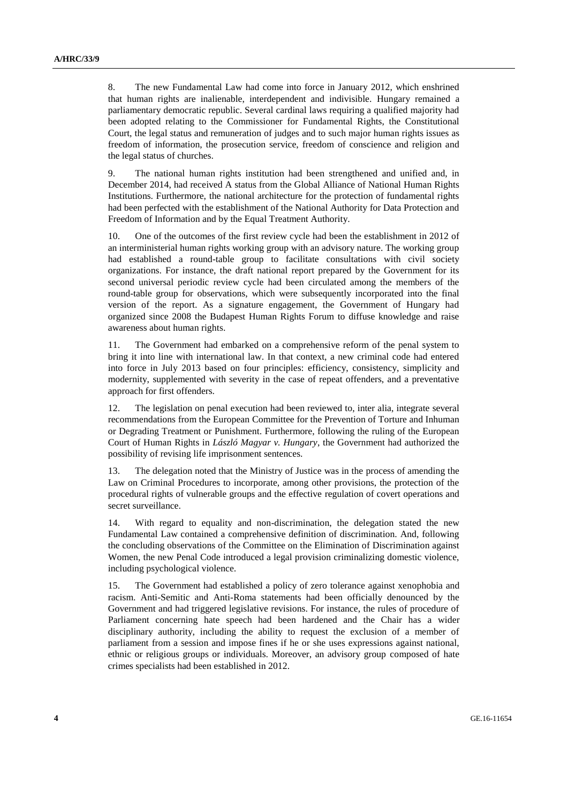8. The new Fundamental Law had come into force in January 2012, which enshrined that human rights are inalienable, interdependent and indivisible. Hungary remained a parliamentary democratic republic. Several cardinal laws requiring a qualified majority had been adopted relating to the Commissioner for Fundamental Rights, the Constitutional Court, the legal status and remuneration of judges and to such major human rights issues as freedom of information, the prosecution service, freedom of conscience and religion and the legal status of churches.

9. The national human rights institution had been strengthened and unified and, in December 2014, had received A status from the Global Alliance of National Human Rights Institutions. Furthermore, the national architecture for the protection of fundamental rights had been perfected with the establishment of the National Authority for Data Protection and Freedom of Information and by the Equal Treatment Authority.

10. One of the outcomes of the first review cycle had been the establishment in 2012 of an interministerial human rights working group with an advisory nature. The working group had established a round-table group to facilitate consultations with civil society organizations. For instance, the draft national report prepared by the Government for its second universal periodic review cycle had been circulated among the members of the round-table group for observations, which were subsequently incorporated into the final version of the report. As a signature engagement, the Government of Hungary had organized since 2008 the Budapest Human Rights Forum to diffuse knowledge and raise awareness about human rights.

11. The Government had embarked on a comprehensive reform of the penal system to bring it into line with international law. In that context, a new criminal code had entered into force in July 2013 based on four principles: efficiency, consistency, simplicity and modernity, supplemented with severity in the case of repeat offenders, and a preventative approach for first offenders.

12. The legislation on penal execution had been reviewed to, inter alia, integrate several recommendations from the European Committee for the Prevention of Torture and Inhuman or Degrading Treatment or Punishment. Furthermore, following the ruling of the European Court of Human Rights in *László Magyar v. Hungary*, the Government had authorized the possibility of revising life imprisonment sentences.

13. The delegation noted that the Ministry of Justice was in the process of amending the Law on Criminal Procedures to incorporate, among other provisions, the protection of the procedural rights of vulnerable groups and the effective regulation of covert operations and secret surveillance.

14. With regard to equality and non-discrimination, the delegation stated the new Fundamental Law contained a comprehensive definition of discrimination. And, following the concluding observations of the Committee on the Elimination of Discrimination against Women, the new Penal Code introduced a legal provision criminalizing domestic violence, including psychological violence.

15. The Government had established a policy of zero tolerance against xenophobia and racism. Anti-Semitic and Anti-Roma statements had been officially denounced by the Government and had triggered legislative revisions. For instance, the rules of procedure of Parliament concerning hate speech had been hardened and the Chair has a wider disciplinary authority, including the ability to request the exclusion of a member of parliament from a session and impose fines if he or she uses expressions against national, ethnic or religious groups or individuals. Moreover, an advisory group composed of hate crimes specialists had been established in 2012.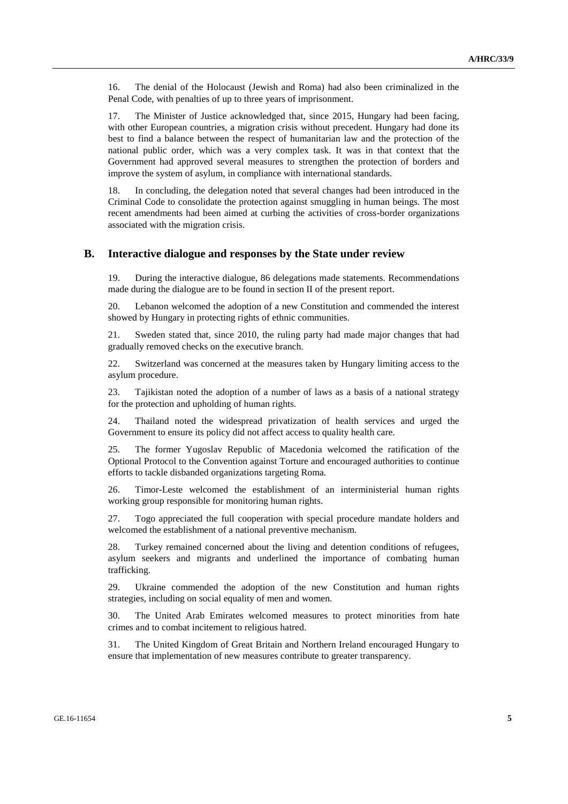16. The denial of the Holocaust (Jewish and Roma) had also been criminalized in the Penal Code, with penalties of up to three years of imprisonment.

17. The Minister of Justice acknowledged that, since 2015, Hungary had been facing, with other European countries, a migration crisis without precedent. Hungary had done its best to find a balance between the respect of humanitarian law and the protection of the national public order, which was a very complex task. It was in that context that the Government had approved several measures to strengthen the protection of borders and improve the system of asylum, in compliance with international standards.

18. In concluding, the delegation noted that several changes had been introduced in the Criminal Code to consolidate the protection against smuggling in human beings. The most recent amendments had been aimed at curbing the activities of cross-border organizations associated with the migration crisis.

#### **B. Interactive dialogue and responses by the State under review**

19. During the interactive dialogue, 86 delegations made statements. Recommendations made during the dialogue are to be found in section II of the present report.

20. Lebanon welcomed the adoption of a new Constitution and commended the interest showed by Hungary in protecting rights of ethnic communities.

21. Sweden stated that, since 2010, the ruling party had made major changes that had gradually removed checks on the executive branch.

22. Switzerland was concerned at the measures taken by Hungary limiting access to the asylum procedure.

23. Tajikistan noted the adoption of a number of laws as a basis of a national strategy for the protection and upholding of human rights.

24. Thailand noted the widespread privatization of health services and urged the Government to ensure its policy did not affect access to quality health care.

25. The former Yugoslav Republic of Macedonia welcomed the ratification of the Optional Protocol to the Convention against Torture and encouraged authorities to continue efforts to tackle disbanded organizations targeting Roma.

26. Timor-Leste welcomed the establishment of an interministerial human rights working group responsible for monitoring human rights.

27. Togo appreciated the full cooperation with special procedure mandate holders and welcomed the establishment of a national preventive mechanism.

28. Turkey remained concerned about the living and detention conditions of refugees, asylum seekers and migrants and underlined the importance of combating human trafficking.

29. Ukraine commended the adoption of the new Constitution and human rights strategies, including on social equality of men and women.

30. The United Arab Emirates welcomed measures to protect minorities from hate crimes and to combat incitement to religious hatred.

31. The United Kingdom of Great Britain and Northern Ireland encouraged Hungary to ensure that implementation of new measures contribute to greater transparency.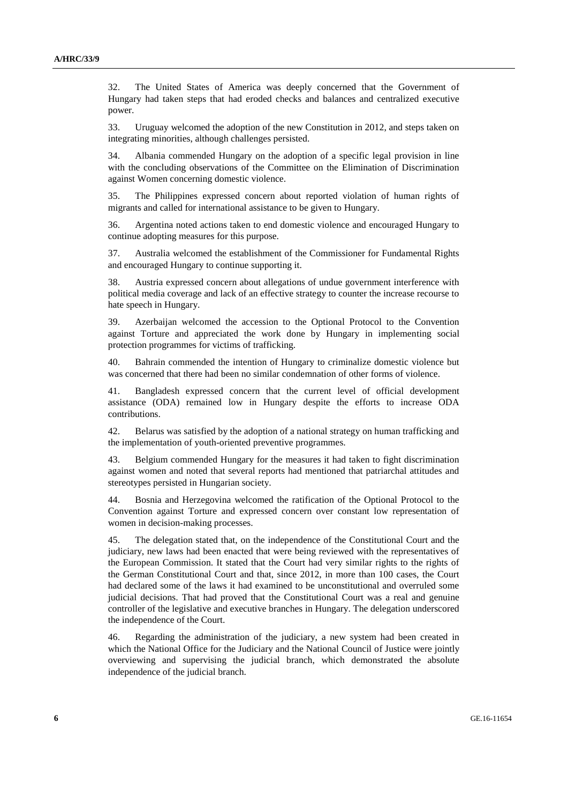32. The United States of America was deeply concerned that the Government of Hungary had taken steps that had eroded checks and balances and centralized executive power.

33. Uruguay welcomed the adoption of the new Constitution in 2012, and steps taken on integrating minorities, although challenges persisted.

34. Albania commended Hungary on the adoption of a specific legal provision in line with the concluding observations of the Committee on the Elimination of Discrimination against Women concerning domestic violence.

35. The Philippines expressed concern about reported violation of human rights of migrants and called for international assistance to be given to Hungary.

36. Argentina noted actions taken to end domestic violence and encouraged Hungary to continue adopting measures for this purpose.

37. Australia welcomed the establishment of the Commissioner for Fundamental Rights and encouraged Hungary to continue supporting it.

38. Austria expressed concern about allegations of undue government interference with political media coverage and lack of an effective strategy to counter the increase recourse to hate speech in Hungary.

39. Azerbaijan welcomed the accession to the Optional Protocol to the Convention against Torture and appreciated the work done by Hungary in implementing social protection programmes for victims of trafficking.

40. Bahrain commended the intention of Hungary to criminalize domestic violence but was concerned that there had been no similar condemnation of other forms of violence.

41. Bangladesh expressed concern that the current level of official development assistance (ODA) remained low in Hungary despite the efforts to increase ODA contributions.

42. Belarus was satisfied by the adoption of a national strategy on human trafficking and the implementation of youth-oriented preventive programmes.

43. Belgium commended Hungary for the measures it had taken to fight discrimination against women and noted that several reports had mentioned that patriarchal attitudes and stereotypes persisted in Hungarian society.

44. Bosnia and Herzegovina welcomed the ratification of the Optional Protocol to the Convention against Torture and expressed concern over constant low representation of women in decision-making processes.

45. The delegation stated that, on the independence of the Constitutional Court and the judiciary, new laws had been enacted that were being reviewed with the representatives of the European Commission. It stated that the Court had very similar rights to the rights of the German Constitutional Court and that, since 2012, in more than 100 cases, the Court had declared some of the laws it had examined to be unconstitutional and overruled some judicial decisions. That had proved that the Constitutional Court was a real and genuine controller of the legislative and executive branches in Hungary. The delegation underscored the independence of the Court.

46. Regarding the administration of the judiciary, a new system had been created in which the National Office for the Judiciary and the National Council of Justice were jointly overviewing and supervising the judicial branch, which demonstrated the absolute independence of the judicial branch.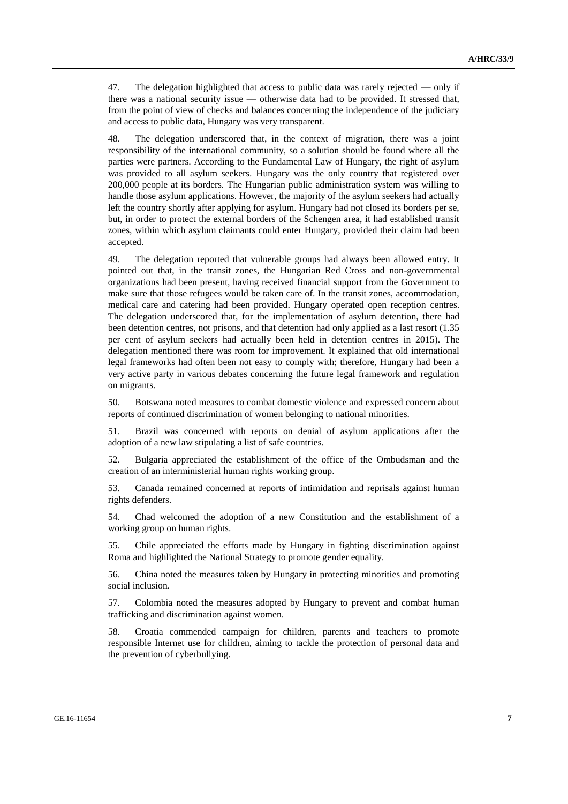47. The delegation highlighted that access to public data was rarely rejected — only if there was a national security issue — otherwise data had to be provided. It stressed that, from the point of view of checks and balances concerning the independence of the judiciary and access to public data, Hungary was very transparent.

48. The delegation underscored that, in the context of migration, there was a joint responsibility of the international community, so a solution should be found where all the parties were partners. According to the Fundamental Law of Hungary, the right of asylum was provided to all asylum seekers. Hungary was the only country that registered over 200,000 people at its borders. The Hungarian public administration system was willing to handle those asylum applications. However, the majority of the asylum seekers had actually left the country shortly after applying for asylum. Hungary had not closed its borders per se, but, in order to protect the external borders of the Schengen area, it had established transit zones, within which asylum claimants could enter Hungary, provided their claim had been accepted.

49. The delegation reported that vulnerable groups had always been allowed entry. It pointed out that, in the transit zones, the Hungarian Red Cross and non-governmental organizations had been present, having received financial support from the Government to make sure that those refugees would be taken care of. In the transit zones, accommodation, medical care and catering had been provided. Hungary operated open reception centres. The delegation underscored that, for the implementation of asylum detention, there had been detention centres, not prisons, and that detention had only applied as a last resort (1.35 per cent of asylum seekers had actually been held in detention centres in 2015). The delegation mentioned there was room for improvement. It explained that old international legal frameworks had often been not easy to comply with; therefore, Hungary had been a very active party in various debates concerning the future legal framework and regulation on migrants.

50. Botswana noted measures to combat domestic violence and expressed concern about reports of continued discrimination of women belonging to national minorities.

51. Brazil was concerned with reports on denial of asylum applications after the adoption of a new law stipulating a list of safe countries.

52. Bulgaria appreciated the establishment of the office of the Ombudsman and the creation of an interministerial human rights working group.

53. Canada remained concerned at reports of intimidation and reprisals against human rights defenders.

54. Chad welcomed the adoption of a new Constitution and the establishment of a working group on human rights.

55. Chile appreciated the efforts made by Hungary in fighting discrimination against Roma and highlighted the National Strategy to promote gender equality.

56. China noted the measures taken by Hungary in protecting minorities and promoting social inclusion.

57. Colombia noted the measures adopted by Hungary to prevent and combat human trafficking and discrimination against women.

58. Croatia commended campaign for children, parents and teachers to promote responsible Internet use for children, aiming to tackle the protection of personal data and the prevention of cyberbullying.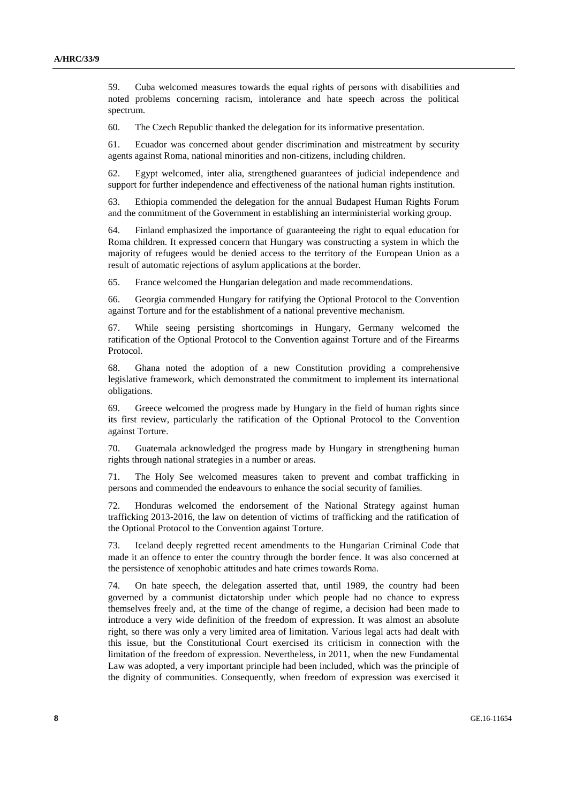59. Cuba welcomed measures towards the equal rights of persons with disabilities and noted problems concerning racism, intolerance and hate speech across the political spectrum.

60. The Czech Republic thanked the delegation for its informative presentation.

61. Ecuador was concerned about gender discrimination and mistreatment by security agents against Roma, national minorities and non-citizens, including children.

62. Egypt welcomed, inter alia, strengthened guarantees of judicial independence and support for further independence and effectiveness of the national human rights institution.

63. Ethiopia commended the delegation for the annual Budapest Human Rights Forum and the commitment of the Government in establishing an interministerial working group.

64. Finland emphasized the importance of guaranteeing the right to equal education for Roma children. It expressed concern that Hungary was constructing a system in which the majority of refugees would be denied access to the territory of the European Union as a result of automatic rejections of asylum applications at the border.

65. France welcomed the Hungarian delegation and made recommendations.

66. Georgia commended Hungary for ratifying the Optional Protocol to the Convention against Torture and for the establishment of a national preventive mechanism.

67. While seeing persisting shortcomings in Hungary, Germany welcomed the ratification of the Optional Protocol to the Convention against Torture and of the Firearms Protocol.

68. Ghana noted the adoption of a new Constitution providing a comprehensive legislative framework, which demonstrated the commitment to implement its international obligations.

69. Greece welcomed the progress made by Hungary in the field of human rights since its first review, particularly the ratification of the Optional Protocol to the Convention against Torture.

70. Guatemala acknowledged the progress made by Hungary in strengthening human rights through national strategies in a number or areas.

71. The Holy See welcomed measures taken to prevent and combat trafficking in persons and commended the endeavours to enhance the social security of families.

72. Honduras welcomed the endorsement of the National Strategy against human trafficking 2013-2016, the law on detention of victims of trafficking and the ratification of the Optional Protocol to the Convention against Torture.

73. Iceland deeply regretted recent amendments to the Hungarian Criminal Code that made it an offence to enter the country through the border fence. It was also concerned at the persistence of xenophobic attitudes and hate crimes towards Roma.

74. On hate speech, the delegation asserted that, until 1989, the country had been governed by a communist dictatorship under which people had no chance to express themselves freely and, at the time of the change of regime, a decision had been made to introduce a very wide definition of the freedom of expression. It was almost an absolute right, so there was only a very limited area of limitation. Various legal acts had dealt with this issue, but the Constitutional Court exercised its criticism in connection with the limitation of the freedom of expression. Nevertheless, in 2011, when the new Fundamental Law was adopted, a very important principle had been included, which was the principle of the dignity of communities. Consequently, when freedom of expression was exercised it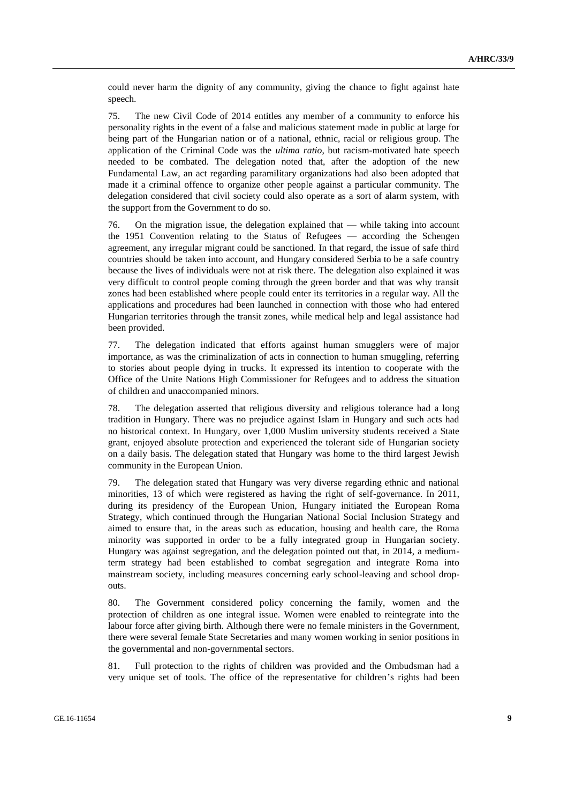could never harm the dignity of any community, giving the chance to fight against hate speech.

75. The new Civil Code of 2014 entitles any member of a community to enforce his personality rights in the event of a false and malicious statement made in public at large for being part of the Hungarian nation or of a national, ethnic, racial or religious group. The application of the Criminal Code was the *ultima ratio*, but racism-motivated hate speech needed to be combated. The delegation noted that, after the adoption of the new Fundamental Law, an act regarding paramilitary organizations had also been adopted that made it a criminal offence to organize other people against a particular community. The delegation considered that civil society could also operate as a sort of alarm system, with the support from the Government to do so.

76. On the migration issue, the delegation explained that — while taking into account the 1951 Convention relating to the Status of Refugees — according the Schengen agreement, any irregular migrant could be sanctioned. In that regard, the issue of safe third countries should be taken into account, and Hungary considered Serbia to be a safe country because the lives of individuals were not at risk there. The delegation also explained it was very difficult to control people coming through the green border and that was why transit zones had been established where people could enter its territories in a regular way. All the applications and procedures had been launched in connection with those who had entered Hungarian territories through the transit zones, while medical help and legal assistance had been provided.

77. The delegation indicated that efforts against human smugglers were of major importance, as was the criminalization of acts in connection to human smuggling, referring to stories about people dying in trucks. It expressed its intention to cooperate with the Office of the Unite Nations High Commissioner for Refugees and to address the situation of children and unaccompanied minors.

78. The delegation asserted that religious diversity and religious tolerance had a long tradition in Hungary. There was no prejudice against Islam in Hungary and such acts had no historical context. In Hungary, over 1,000 Muslim university students received a State grant, enjoyed absolute protection and experienced the tolerant side of Hungarian society on a daily basis. The delegation stated that Hungary was home to the third largest Jewish community in the European Union.

79. The delegation stated that Hungary was very diverse regarding ethnic and national minorities, 13 of which were registered as having the right of self-governance. In 2011, during its presidency of the European Union, Hungary initiated the European Roma Strategy, which continued through the Hungarian National Social Inclusion Strategy and aimed to ensure that, in the areas such as education, housing and health care, the Roma minority was supported in order to be a fully integrated group in Hungarian society. Hungary was against segregation, and the delegation pointed out that, in 2014, a mediumterm strategy had been established to combat segregation and integrate Roma into mainstream society, including measures concerning early school-leaving and school dropouts.

80. The Government considered policy concerning the family, women and the protection of children as one integral issue. Women were enabled to reintegrate into the labour force after giving birth. Although there were no female ministers in the Government, there were several female State Secretaries and many women working in senior positions in the governmental and non-governmental sectors.

81. Full protection to the rights of children was provided and the Ombudsman had a very unique set of tools. The office of the representative for children's rights had been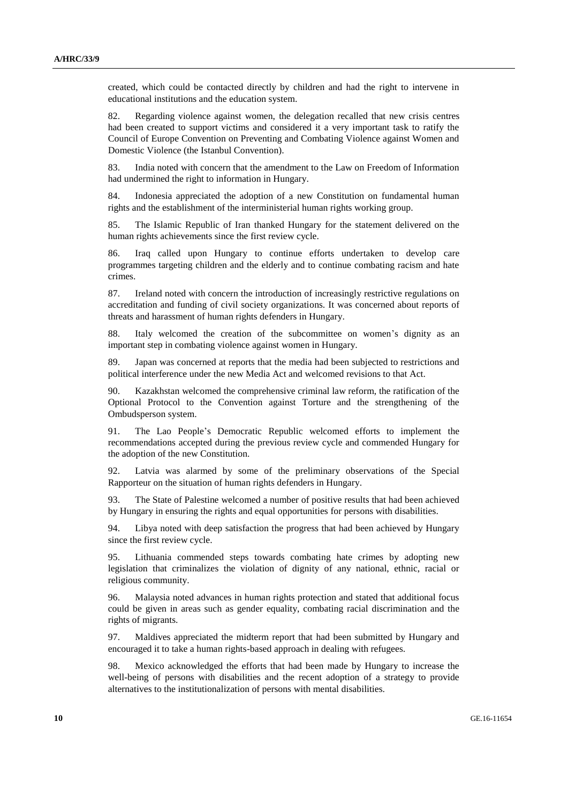created, which could be contacted directly by children and had the right to intervene in educational institutions and the education system.

82. Regarding violence against women, the delegation recalled that new crisis centres had been created to support victims and considered it a very important task to ratify the Council of Europe Convention on Preventing and Combating Violence against Women and Domestic Violence (the Istanbul Convention).

83. India noted with concern that the amendment to the Law on Freedom of Information had undermined the right to information in Hungary.

84. Indonesia appreciated the adoption of a new Constitution on fundamental human rights and the establishment of the interministerial human rights working group.

85. The Islamic Republic of Iran thanked Hungary for the statement delivered on the human rights achievements since the first review cycle.

86. Iraq called upon Hungary to continue efforts undertaken to develop care programmes targeting children and the elderly and to continue combating racism and hate crimes.

87. Ireland noted with concern the introduction of increasingly restrictive regulations on accreditation and funding of civil society organizations. It was concerned about reports of threats and harassment of human rights defenders in Hungary.

88. Italy welcomed the creation of the subcommittee on women's dignity as an important step in combating violence against women in Hungary.

89. Japan was concerned at reports that the media had been subjected to restrictions and political interference under the new Media Act and welcomed revisions to that Act.

90. Kazakhstan welcomed the comprehensive criminal law reform, the ratification of the Optional Protocol to the Convention against Torture and the strengthening of the Ombudsperson system.

91. The Lao People's Democratic Republic welcomed efforts to implement the recommendations accepted during the previous review cycle and commended Hungary for the adoption of the new Constitution.

92. Latvia was alarmed by some of the preliminary observations of the Special Rapporteur on the situation of human rights defenders in Hungary.

93. The State of Palestine welcomed a number of positive results that had been achieved by Hungary in ensuring the rights and equal opportunities for persons with disabilities.

94. Libya noted with deep satisfaction the progress that had been achieved by Hungary since the first review cycle.

95. Lithuania commended steps towards combating hate crimes by adopting new legislation that criminalizes the violation of dignity of any national, ethnic, racial or religious community.

96. Malaysia noted advances in human rights protection and stated that additional focus could be given in areas such as gender equality, combating racial discrimination and the rights of migrants.

97. Maldives appreciated the midterm report that had been submitted by Hungary and encouraged it to take a human rights-based approach in dealing with refugees.

98. Mexico acknowledged the efforts that had been made by Hungary to increase the well-being of persons with disabilities and the recent adoption of a strategy to provide alternatives to the institutionalization of persons with mental disabilities.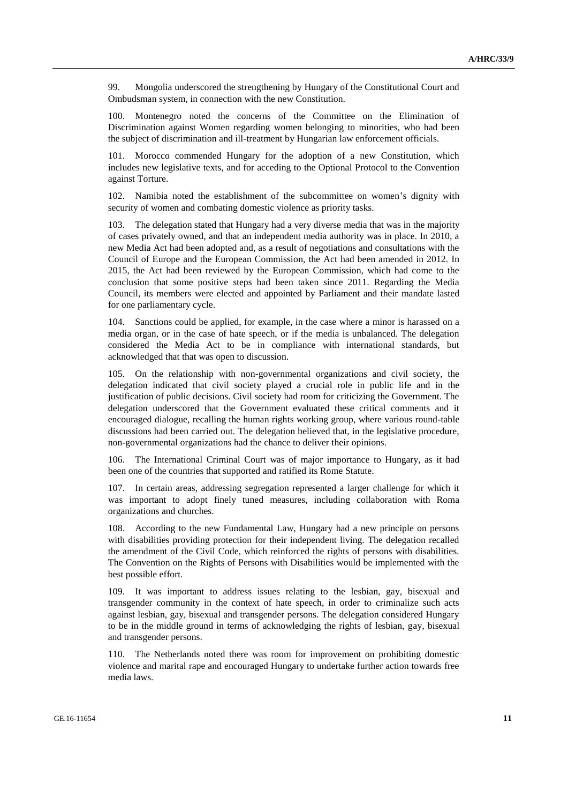99. Mongolia underscored the strengthening by Hungary of the Constitutional Court and Ombudsman system, in connection with the new Constitution.

100. Montenegro noted the concerns of the Committee on the Elimination of Discrimination against Women regarding women belonging to minorities, who had been the subject of discrimination and ill-treatment by Hungarian law enforcement officials.

101. Morocco commended Hungary for the adoption of a new Constitution, which includes new legislative texts, and for acceding to the Optional Protocol to the Convention against Torture.

102. Namibia noted the establishment of the subcommittee on women's dignity with security of women and combating domestic violence as priority tasks.

103. The delegation stated that Hungary had a very diverse media that was in the majority of cases privately owned, and that an independent media authority was in place. In 2010, a new Media Act had been adopted and, as a result of negotiations and consultations with the Council of Europe and the European Commission, the Act had been amended in 2012. In 2015, the Act had been reviewed by the European Commission, which had come to the conclusion that some positive steps had been taken since 2011. Regarding the Media Council, its members were elected and appointed by Parliament and their mandate lasted for one parliamentary cycle.

104. Sanctions could be applied, for example, in the case where a minor is harassed on a media organ, or in the case of hate speech, or if the media is unbalanced. The delegation considered the Media Act to be in compliance with international standards, but acknowledged that that was open to discussion.

105. On the relationship with non-governmental organizations and civil society, the delegation indicated that civil society played a crucial role in public life and in the justification of public decisions. Civil society had room for criticizing the Government. The delegation underscored that the Government evaluated these critical comments and it encouraged dialogue, recalling the human rights working group, where various round-table discussions had been carried out. The delegation believed that, in the legislative procedure, non-governmental organizations had the chance to deliver their opinions.

106. The International Criminal Court was of major importance to Hungary, as it had been one of the countries that supported and ratified its Rome Statute.

107. In certain areas, addressing segregation represented a larger challenge for which it was important to adopt finely tuned measures, including collaboration with Roma organizations and churches.

108. According to the new Fundamental Law, Hungary had a new principle on persons with disabilities providing protection for their independent living. The delegation recalled the amendment of the Civil Code, which reinforced the rights of persons with disabilities. The Convention on the Rights of Persons with Disabilities would be implemented with the best possible effort.

109. It was important to address issues relating to the lesbian, gay, bisexual and transgender community in the context of hate speech, in order to criminalize such acts against lesbian, gay, bisexual and transgender persons. The delegation considered Hungary to be in the middle ground in terms of acknowledging the rights of lesbian, gay, bisexual and transgender persons.

110. The Netherlands noted there was room for improvement on prohibiting domestic violence and marital rape and encouraged Hungary to undertake further action towards free media laws.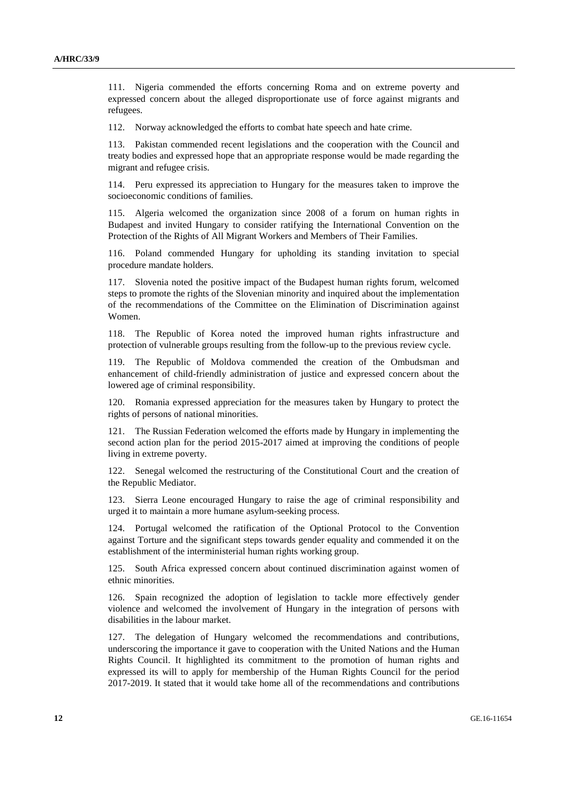111. Nigeria commended the efforts concerning Roma and on extreme poverty and expressed concern about the alleged disproportionate use of force against migrants and refugees.

112. Norway acknowledged the efforts to combat hate speech and hate crime.

113. Pakistan commended recent legislations and the cooperation with the Council and treaty bodies and expressed hope that an appropriate response would be made regarding the migrant and refugee crisis.

114. Peru expressed its appreciation to Hungary for the measures taken to improve the socioeconomic conditions of families.

115. Algeria welcomed the organization since 2008 of a forum on human rights in Budapest and invited Hungary to consider ratifying the International Convention on the Protection of the Rights of All Migrant Workers and Members of Their Families.

116. Poland commended Hungary for upholding its standing invitation to special procedure mandate holders.

117. Slovenia noted the positive impact of the Budapest human rights forum, welcomed steps to promote the rights of the Slovenian minority and inquired about the implementation of the recommendations of the Committee on the Elimination of Discrimination against Women.

118. The Republic of Korea noted the improved human rights infrastructure and protection of vulnerable groups resulting from the follow-up to the previous review cycle.

119. The Republic of Moldova commended the creation of the Ombudsman and enhancement of child-friendly administration of justice and expressed concern about the lowered age of criminal responsibility.

120. Romania expressed appreciation for the measures taken by Hungary to protect the rights of persons of national minorities.

121. The Russian Federation welcomed the efforts made by Hungary in implementing the second action plan for the period 2015-2017 aimed at improving the conditions of people living in extreme poverty.

122. Senegal welcomed the restructuring of the Constitutional Court and the creation of the Republic Mediator.

123. Sierra Leone encouraged Hungary to raise the age of criminal responsibility and urged it to maintain a more humane asylum-seeking process.

124. Portugal welcomed the ratification of the Optional Protocol to the Convention against Torture and the significant steps towards gender equality and commended it on the establishment of the interministerial human rights working group.

125. South Africa expressed concern about continued discrimination against women of ethnic minorities.

126. Spain recognized the adoption of legislation to tackle more effectively gender violence and welcomed the involvement of Hungary in the integration of persons with disabilities in the labour market.

127. The delegation of Hungary welcomed the recommendations and contributions, underscoring the importance it gave to cooperation with the United Nations and the Human Rights Council. It highlighted its commitment to the promotion of human rights and expressed its will to apply for membership of the Human Rights Council for the period 2017-2019. It stated that it would take home all of the recommendations and contributions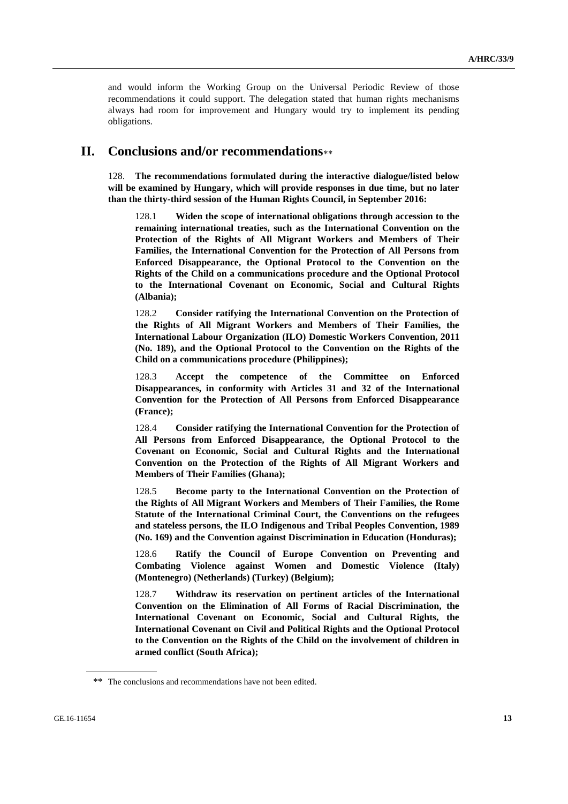and would inform the Working Group on the Universal Periodic Review of those recommendations it could support. The delegation stated that human rights mechanisms always had room for improvement and Hungary would try to implement its pending obligations.

# **II. Conclusions and/or recommendations**

128. **The recommendations formulated during the interactive dialogue/listed below will be examined by Hungary, which will provide responses in due time, but no later than the thirty-third session of the Human Rights Council, in September 2016:**

128.1 **Widen the scope of international obligations through accession to the remaining international treaties, such as the International Convention on the Protection of the Rights of All Migrant Workers and Members of Their Families, the International Convention for the Protection of All Persons from Enforced Disappearance, the Optional Protocol to the Convention on the Rights of the Child on a communications procedure and the Optional Protocol to the International Covenant on Economic, Social and Cultural Rights (Albania);**

128.2 **Consider ratifying the International Convention on the Protection of the Rights of All Migrant Workers and Members of Their Families, the International Labour Organization (ILO) Domestic Workers Convention, 2011 (No. 189), and the Optional Protocol to the Convention on the Rights of the Child on a communications procedure (Philippines);**

128.3 **Accept the competence of the Committee on Enforced Disappearances, in conformity with Articles 31 and 32 of the International Convention for the Protection of All Persons from Enforced Disappearance (France);**

128.4 **Consider ratifying the International Convention for the Protection of All Persons from Enforced Disappearance, the Optional Protocol to the Covenant on Economic, Social and Cultural Rights and the International Convention on the Protection of the Rights of All Migrant Workers and Members of Their Families (Ghana);**

128.5 **Become party to the International Convention on the Protection of the Rights of All Migrant Workers and Members of Their Families, the Rome Statute of the International Criminal Court, the Conventions on the refugees and stateless persons, the ILO Indigenous and Tribal Peoples Convention, 1989 (No. 169) and the Convention against Discrimination in Education (Honduras);**

128.6 **Ratify the Council of Europe Convention on Preventing and Combating Violence against Women and Domestic Violence (Italy) (Montenegro) (Netherlands) (Turkey) (Belgium);**

128.7 **Withdraw its reservation on pertinent articles of the International Convention on the Elimination of All Forms of Racial Discrimination, the International Covenant on Economic, Social and Cultural Rights, the International Covenant on Civil and Political Rights and the Optional Protocol to the Convention on the Rights of the Child on the involvement of children in armed conflict (South Africa);**

<sup>\*\*</sup> The conclusions and recommendations have not been edited.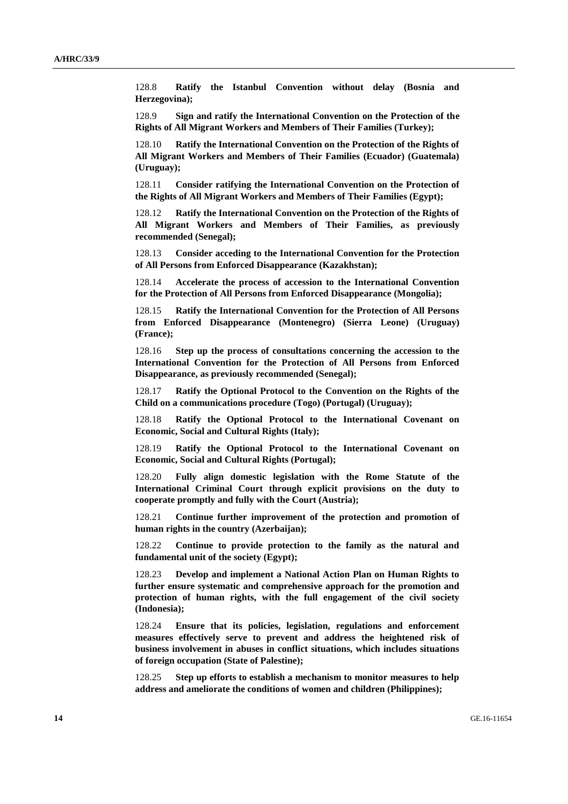128.8 **Ratify the Istanbul Convention without delay (Bosnia and Herzegovina);**

128.9 **Sign and ratify the International Convention on the Protection of the Rights of All Migrant Workers and Members of Their Families (Turkey);**

128.10 **Ratify the International Convention on the Protection of the Rights of All Migrant Workers and Members of Their Families (Ecuador) (Guatemala) (Uruguay);**

128.11 **Consider ratifying the International Convention on the Protection of the Rights of All Migrant Workers and Members of Their Families (Egypt);**

128.12 **Ratify the International Convention on the Protection of the Rights of All Migrant Workers and Members of Their Families, as previously recommended (Senegal);**

128.13 **Consider acceding to the International Convention for the Protection of All Persons from Enforced Disappearance (Kazakhstan);**

128.14 **Accelerate the process of accession to the International Convention for the Protection of All Persons from Enforced Disappearance (Mongolia);**

128.15 **Ratify the International Convention for the Protection of All Persons from Enforced Disappearance (Montenegro) (Sierra Leone) (Uruguay) (France);**

128.16 **Step up the process of consultations concerning the accession to the International Convention for the Protection of All Persons from Enforced Disappearance, as previously recommended (Senegal);**

128.17 **Ratify the Optional Protocol to the Convention on the Rights of the Child on a communications procedure (Togo) (Portugal) (Uruguay);**

128.18 **Ratify the Optional Protocol to the International Covenant on Economic, Social and Cultural Rights (Italy);**

128.19 **Ratify the Optional Protocol to the International Covenant on Economic, Social and Cultural Rights (Portugal);**

128.20 **Fully align domestic legislation with the Rome Statute of the International Criminal Court through explicit provisions on the duty to cooperate promptly and fully with the Court (Austria);**

128.21 **Continue further improvement of the protection and promotion of human rights in the country (Azerbaijan);**

128.22 **Continue to provide protection to the family as the natural and fundamental unit of the society (Egypt);** 

128.23 **Develop and implement a National Action Plan on Human Rights to further ensure systematic and comprehensive approach for the promotion and protection of human rights, with the full engagement of the civil society (Indonesia);**

128.24 **Ensure that its policies, legislation, regulations and enforcement measures effectively serve to prevent and address the heightened risk of business involvement in abuses in conflict situations, which includes situations of foreign occupation (State of Palestine);**

128.25 **Step up efforts to establish a mechanism to monitor measures to help address and ameliorate the conditions of women and children (Philippines);**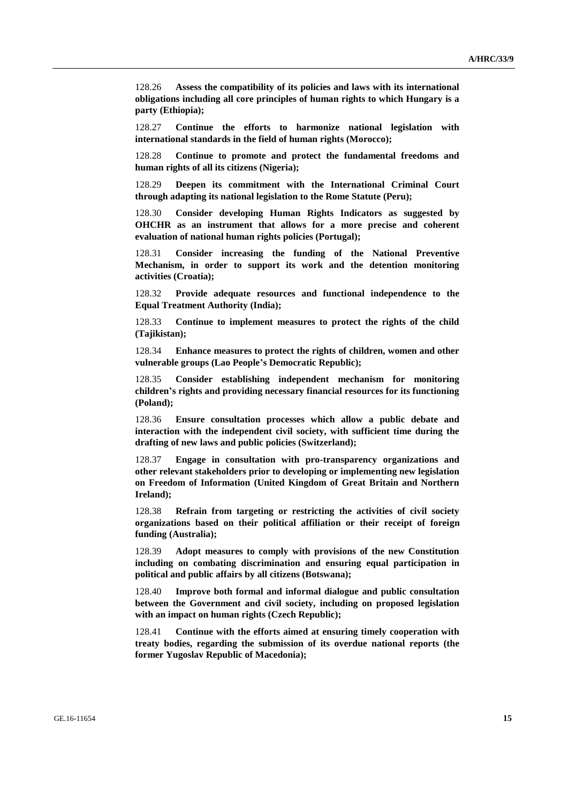128.26 **Assess the compatibility of its policies and laws with its international obligations including all core principles of human rights to which Hungary is a party (Ethiopia);**

128.27 **Continue the efforts to harmonize national legislation with international standards in the field of human rights (Morocco);**

128.28 **Continue to promote and protect the fundamental freedoms and human rights of all its citizens (Nigeria);**

128.29 **Deepen its commitment with the International Criminal Court through adapting its national legislation to the Rome Statute (Peru);**

128.30 **Consider developing Human Rights Indicators as suggested by OHCHR as an instrument that allows for a more precise and coherent evaluation of national human rights policies (Portugal);**

128.31 **Consider increasing the funding of the National Preventive Mechanism, in order to support its work and the detention monitoring activities (Croatia);**

128.32 **Provide adequate resources and functional independence to the Equal Treatment Authority (India);**

128.33 **Continue to implement measures to protect the rights of the child (Tajikistan);**

128.34 **Enhance measures to protect the rights of children, women and other vulnerable groups (Lao People's Democratic Republic);**

128.35 **Consider establishing independent mechanism for monitoring children's rights and providing necessary financial resources for its functioning (Poland);**

128.36 **Ensure consultation processes which allow a public debate and interaction with the independent civil society, with sufficient time during the drafting of new laws and public policies (Switzerland);**

128.37 **Engage in consultation with pro-transparency organizations and other relevant stakeholders prior to developing or implementing new legislation on Freedom of Information (United Kingdom of Great Britain and Northern Ireland);**

128.38 **Refrain from targeting or restricting the activities of civil society organizations based on their political affiliation or their receipt of foreign funding (Australia);**

128.39 **Adopt measures to comply with provisions of the new Constitution including on combating discrimination and ensuring equal participation in political and public affairs by all citizens (Botswana);**

128.40 **Improve both formal and informal dialogue and public consultation between the Government and civil society, including on proposed legislation with an impact on human rights (Czech Republic);**

128.41 **Continue with the efforts aimed at ensuring timely cooperation with treaty bodies, regarding the submission of its overdue national reports (the former Yugoslav Republic of Macedonia);**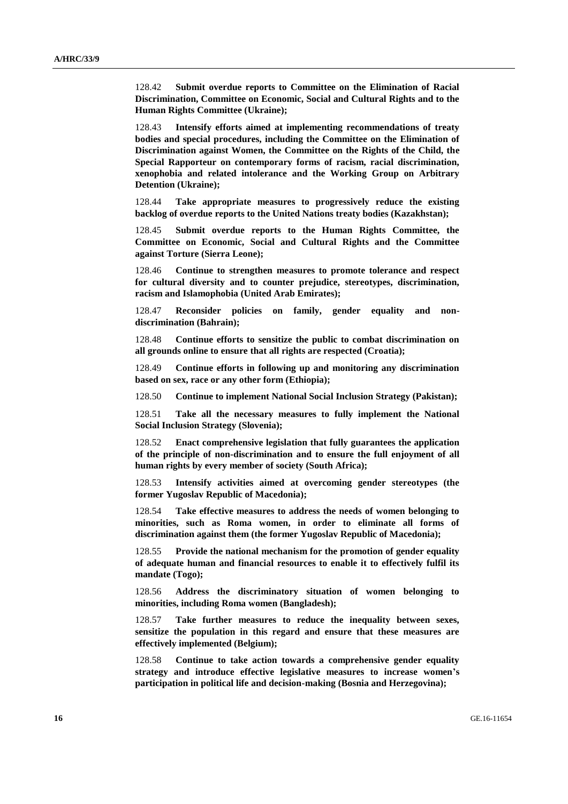128.42 **Submit overdue reports to Committee on the Elimination of Racial Discrimination, Committee on Economic, Social and Cultural Rights and to the Human Rights Committee (Ukraine);**

128.43 **Intensify efforts aimed at implementing recommendations of treaty bodies and special procedures, including the Committee on the Elimination of Discrimination against Women, the Committee on the Rights of the Child, the Special Rapporteur on contemporary forms of racism, racial discrimination, xenophobia and related intolerance and the Working Group on Arbitrary Detention (Ukraine);**

128.44 **Take appropriate measures to progressively reduce the existing backlog of overdue reports to the United Nations treaty bodies (Kazakhstan);**

128.45 **Submit overdue reports to the Human Rights Committee, the Committee on Economic, Social and Cultural Rights and the Committee against Torture (Sierra Leone);**

128.46 **Continue to strengthen measures to promote tolerance and respect for cultural diversity and to counter prejudice, stereotypes, discrimination, racism and Islamophobia (United Arab Emirates);**

128.47 **Reconsider policies on family, gender equality and nondiscrimination (Bahrain);**

128.48 **Continue efforts to sensitize the public to combat discrimination on all grounds online to ensure that all rights are respected (Croatia);**

128.49 **Continue efforts in following up and monitoring any discrimination based on sex, race or any other form (Ethiopia);**

128.50 **Continue to implement National Social Inclusion Strategy (Pakistan);**

128.51 **Take all the necessary measures to fully implement the National Social Inclusion Strategy (Slovenia);**

128.52 **Enact comprehensive legislation that fully guarantees the application of the principle of non-discrimination and to ensure the full enjoyment of all human rights by every member of society (South Africa);**

128.53 **Intensify activities aimed at overcoming gender stereotypes (the former Yugoslav Republic of Macedonia);**

128.54 **Take effective measures to address the needs of women belonging to minorities, such as Roma women, in order to eliminate all forms of discrimination against them (the former Yugoslav Republic of Macedonia);**

128.55 **Provide the national mechanism for the promotion of gender equality of adequate human and financial resources to enable it to effectively fulfil its mandate (Togo);**

128.56 **Address the discriminatory situation of women belonging to minorities, including Roma women (Bangladesh);**

128.57 **Take further measures to reduce the inequality between sexes, sensitize the population in this regard and ensure that these measures are effectively implemented (Belgium);**

128.58 **Continue to take action towards a comprehensive gender equality strategy and introduce effective legislative measures to increase women's participation in political life and decision-making (Bosnia and Herzegovina);**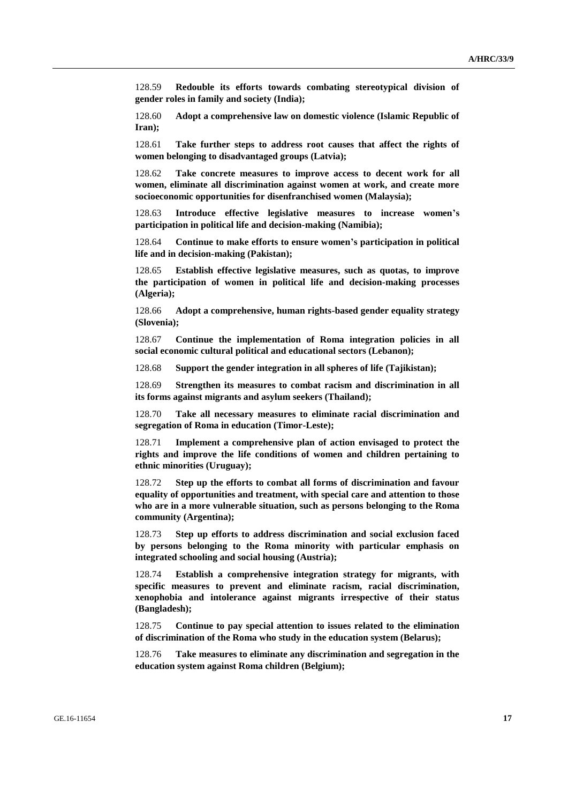128.59 **Redouble its efforts towards combating stereotypical division of gender roles in family and society (India);**

128.60 **Adopt a comprehensive law on domestic violence (Islamic Republic of Iran);**

128.61 **Take further steps to address root causes that affect the rights of women belonging to disadvantaged groups (Latvia);**

128.62 **Take concrete measures to improve access to decent work for all women, eliminate all discrimination against women at work, and create more socioeconomic opportunities for disenfranchised women (Malaysia);**

128.63 **Introduce effective legislative measures to increase women's participation in political life and decision-making (Namibia);**

128.64 **Continue to make efforts to ensure women's participation in political life and in decision-making (Pakistan);**

128.65 **Establish effective legislative measures, such as quotas, to improve the participation of women in political life and decision-making processes (Algeria);**

128.66 **Adopt a comprehensive, human rights-based gender equality strategy (Slovenia);**

128.67 **Continue the implementation of Roma integration policies in all social economic cultural political and educational sectors (Lebanon);**

128.68 **Support the gender integration in all spheres of life (Tajikistan);**

128.69 **Strengthen its measures to combat racism and discrimination in all its forms against migrants and asylum seekers (Thailand);**

128.70 **Take all necessary measures to eliminate racial discrimination and segregation of Roma in education (Timor-Leste);**

128.71 **Implement a comprehensive plan of action envisaged to protect the rights and improve the life conditions of women and children pertaining to ethnic minorities (Uruguay);**

128.72 **Step up the efforts to combat all forms of discrimination and favour equality of opportunities and treatment, with special care and attention to those who are in a more vulnerable situation, such as persons belonging to the Roma community (Argentina);**

128.73 **Step up efforts to address discrimination and social exclusion faced by persons belonging to the Roma minority with particular emphasis on integrated schooling and social housing (Austria);**

128.74 **Establish a comprehensive integration strategy for migrants, with specific measures to prevent and eliminate racism, racial discrimination, xenophobia and intolerance against migrants irrespective of their status (Bangladesh);**

128.75 **Continue to pay special attention to issues related to the elimination of discrimination of the Roma who study in the education system (Belarus);**

128.76 **Take measures to eliminate any discrimination and segregation in the education system against Roma children (Belgium);**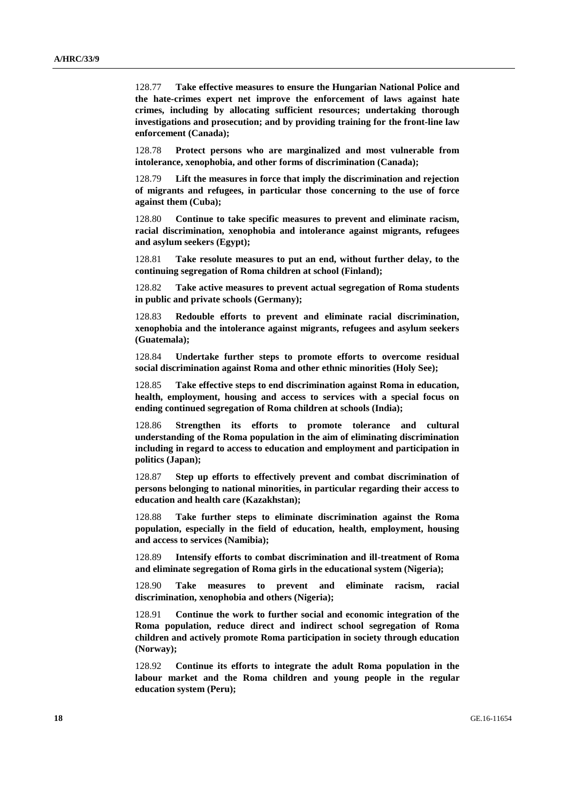128.77 **Take effective measures to ensure the Hungarian National Police and the hate-crimes expert net improve the enforcement of laws against hate crimes, including by allocating sufficient resources; undertaking thorough investigations and prosecution; and by providing training for the front-line law enforcement (Canada);**

128.78 **Protect persons who are marginalized and most vulnerable from intolerance, xenophobia, and other forms of discrimination (Canada);**

128.79 **Lift the measures in force that imply the discrimination and rejection of migrants and refugees, in particular those concerning to the use of force against them (Cuba);**

128.80 **Continue to take specific measures to prevent and eliminate racism, racial discrimination, xenophobia and intolerance against migrants, refugees and asylum seekers (Egypt);**

128.81 **Take resolute measures to put an end, without further delay, to the continuing segregation of Roma children at school (Finland);**

128.82 **Take active measures to prevent actual segregation of Roma students in public and private schools (Germany);**

128.83 **Redouble efforts to prevent and eliminate racial discrimination, xenophobia and the intolerance against migrants, refugees and asylum seekers (Guatemala);**

128.84 **Undertake further steps to promote efforts to overcome residual social discrimination against Roma and other ethnic minorities (Holy See);**

128.85 **Take effective steps to end discrimination against Roma in education, health, employment, housing and access to services with a special focus on ending continued segregation of Roma children at schools (India);**

128.86 **Strengthen its efforts to promote tolerance and cultural understanding of the Roma population in the aim of eliminating discrimination including in regard to access to education and employment and participation in politics (Japan);**

128.87 **Step up efforts to effectively prevent and combat discrimination of persons belonging to national minorities, in particular regarding their access to education and health care (Kazakhstan);**

128.88 **Take further steps to eliminate discrimination against the Roma population, especially in the field of education, health, employment, housing and access to services (Namibia);**

128.89 **Intensify efforts to combat discrimination and ill-treatment of Roma and eliminate segregation of Roma girls in the educational system (Nigeria);**

128.90 **Take measures to prevent and eliminate racism, racial discrimination, xenophobia and others (Nigeria);**

128.91 **Continue the work to further social and economic integration of the Roma population, reduce direct and indirect school segregation of Roma children and actively promote Roma participation in society through education (Norway);**

128.92 **Continue its efforts to integrate the adult Roma population in the labour market and the Roma children and young people in the regular education system (Peru);**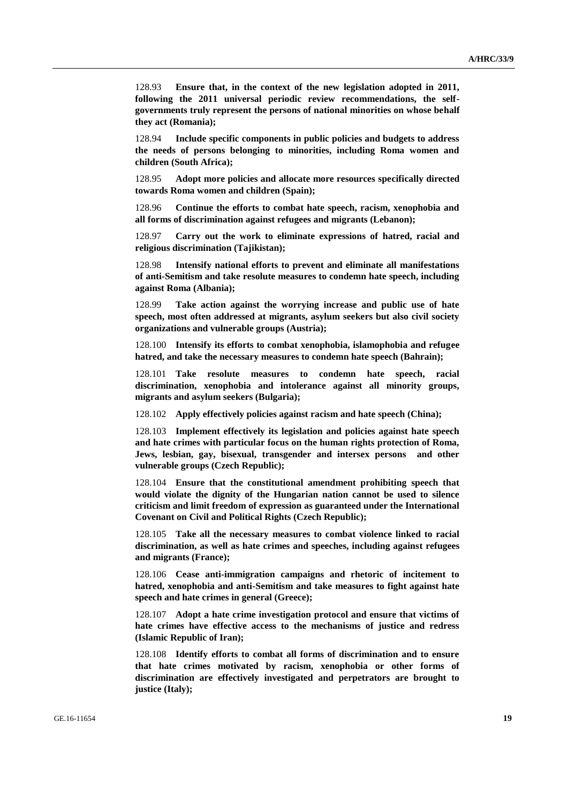128.93 **Ensure that, in the context of the new legislation adopted in 2011, following the 2011 universal periodic review recommendations, the selfgovernments truly represent the persons of national minorities on whose behalf they act (Romania);**

128.94 **Include specific components in public policies and budgets to address the needs of persons belonging to minorities, including Roma women and children (South Africa);**

128.95 **Adopt more policies and allocate more resources specifically directed towards Roma women and children (Spain);**

128.96 **Continue the efforts to combat hate speech, racism, xenophobia and all forms of discrimination against refugees and migrants (Lebanon);**

128.97 **Carry out the work to eliminate expressions of hatred, racial and religious discrimination (Tajikistan);**

128.98 **Intensify national efforts to prevent and eliminate all manifestations of anti-Semitism and take resolute measures to condemn hate speech, including against Roma (Albania);**

128.99 **Take action against the worrying increase and public use of hate speech, most often addressed at migrants, asylum seekers but also civil society organizations and vulnerable groups (Austria);**

128.100 **Intensify its efforts to combat xenophobia, islamophobia and refugee hatred, and take the necessary measures to condemn hate speech (Bahrain);**

128.101 **Take resolute measures to condemn hate speech, racial discrimination, xenophobia and intolerance against all minority groups, migrants and asylum seekers (Bulgaria);**

128.102 **Apply effectively policies against racism and hate speech (China);**

128.103 **Implement effectively its legislation and policies against hate speech and hate crimes with particular focus on the human rights protection of Roma, Jews, lesbian, gay, bisexual, transgender and intersex persons and other vulnerable groups (Czech Republic);**

128.104 **Ensure that the constitutional amendment prohibiting speech that would violate the dignity of the Hungarian nation cannot be used to silence criticism and limit freedom of expression as guaranteed under the International Covenant on Civil and Political Rights (Czech Republic);**

128.105 **Take all the necessary measures to combat violence linked to racial discrimination, as well as hate crimes and speeches, including against refugees and migrants (France);**

128.106 **Cease anti-immigration campaigns and rhetoric of incitement to hatred, xenophobia and anti-Semitism and take measures to fight against hate speech and hate crimes in general (Greece);**

128.107 **Adopt a hate crime investigation protocol and ensure that victims of hate crimes have effective access to the mechanisms of justice and redress (Islamic Republic of Iran);**

128.108 **Identify efforts to combat all forms of discrimination and to ensure that hate crimes motivated by racism, xenophobia or other forms of discrimination are effectively investigated and perpetrators are brought to justice (Italy);**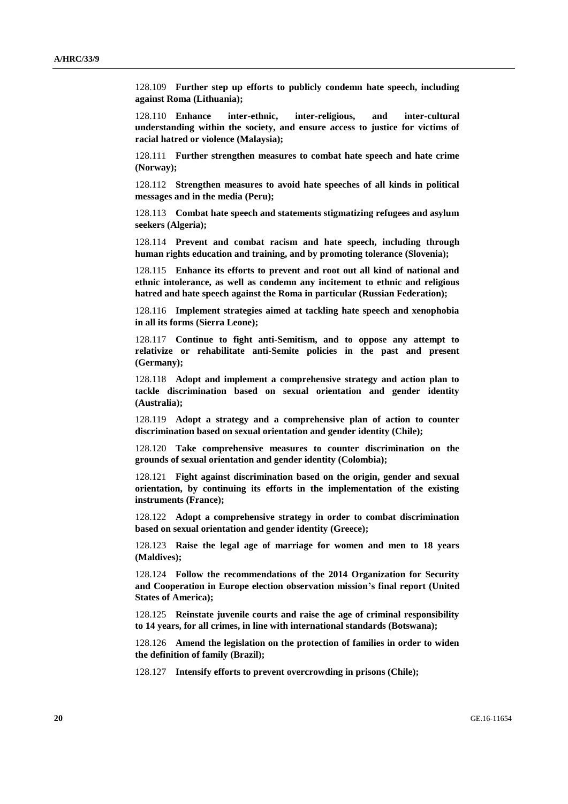128.109 **Further step up efforts to publicly condemn hate speech, including against Roma (Lithuania);**

128.110 **Enhance inter-ethnic, inter-religious, and inter-cultural understanding within the society, and ensure access to justice for victims of racial hatred or violence (Malaysia);**

128.111 **Further strengthen measures to combat hate speech and hate crime (Norway);**

128.112 **Strengthen measures to avoid hate speeches of all kinds in political messages and in the media (Peru);**

128.113 **Combat hate speech and statements stigmatizing refugees and asylum seekers (Algeria);**

128.114 **Prevent and combat racism and hate speech, including through human rights education and training, and by promoting tolerance (Slovenia);**

128.115 **Enhance its efforts to prevent and root out all kind of national and ethnic intolerance, as well as condemn any incitement to ethnic and religious hatred and hate speech against the Roma in particular (Russian Federation);**

128.116 **Implement strategies aimed at tackling hate speech and xenophobia in all its forms (Sierra Leone);**

128.117 **Continue to fight anti-Semitism, and to oppose any attempt to relativize or rehabilitate anti-Semite policies in the past and present (Germany);**

128.118 **Adopt and implement a comprehensive strategy and action plan to tackle discrimination based on sexual orientation and gender identity (Australia);**

128.119 **Adopt a strategy and a comprehensive plan of action to counter discrimination based on sexual orientation and gender identity (Chile);**

128.120 **Take comprehensive measures to counter discrimination on the grounds of sexual orientation and gender identity (Colombia);**

128.121 **Fight against discrimination based on the origin, gender and sexual orientation, by continuing its efforts in the implementation of the existing instruments (France);**

128.122 **Adopt a comprehensive strategy in order to combat discrimination based on sexual orientation and gender identity (Greece);**

128.123 **Raise the legal age of marriage for women and men to 18 years (Maldives);**

128.124 **Follow the recommendations of the 2014 Organization for Security and Cooperation in Europe election observation mission's final report (United States of America);**

128.125 **Reinstate juvenile courts and raise the age of criminal responsibility to 14 years, for all crimes, in line with international standards (Botswana);**

128.126 **Amend the legislation on the protection of families in order to widen the definition of family (Brazil);**

128.127 **Intensify efforts to prevent overcrowding in prisons (Chile);**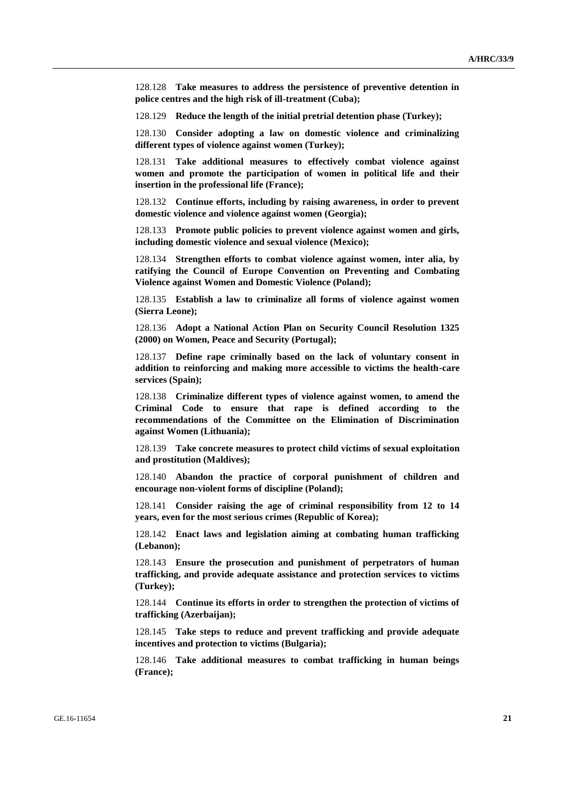128.128 **Take measures to address the persistence of preventive detention in police centres and the high risk of ill-treatment (Cuba);**

128.129 **Reduce the length of the initial pretrial detention phase (Turkey);**

128.130 **Consider adopting a law on domestic violence and criminalizing different types of violence against women (Turkey);**

128.131 **Take additional measures to effectively combat violence against women and promote the participation of women in political life and their insertion in the professional life (France);**

128.132 **Continue efforts, including by raising awareness, in order to prevent domestic violence and violence against women (Georgia);**

128.133 **Promote public policies to prevent violence against women and girls, including domestic violence and sexual violence (Mexico);**

128.134 **Strengthen efforts to combat violence against women, inter alia, by ratifying the Council of Europe Convention on Preventing and Combating Violence against Women and Domestic Violence (Poland);**

128.135 **Establish a law to criminalize all forms of violence against women (Sierra Leone);**

128.136 **Adopt a National Action Plan on Security Council Resolution 1325 (2000) on Women, Peace and Security (Portugal);**

128.137 **Define rape criminally based on the lack of voluntary consent in addition to reinforcing and making more accessible to victims the health-care services (Spain);**

128.138 **Criminalize different types of violence against women, to amend the Criminal Code to ensure that rape is defined according to the recommendations of the Committee on the Elimination of Discrimination against Women (Lithuania);**

128.139 **Take concrete measures to protect child victims of sexual exploitation and prostitution (Maldives);**

128.140 **Abandon the practice of corporal punishment of children and encourage non-violent forms of discipline (Poland);**

128.141 **Consider raising the age of criminal responsibility from 12 to 14 years, even for the most serious crimes (Republic of Korea);**

128.142 **Enact laws and legislation aiming at combating human trafficking (Lebanon);**

128.143 **Ensure the prosecution and punishment of perpetrators of human trafficking, and provide adequate assistance and protection services to victims (Turkey);**

128.144 **Continue its efforts in order to strengthen the protection of victims of trafficking (Azerbaijan);**

128.145 **Take steps to reduce and prevent trafficking and provide adequate incentives and protection to victims (Bulgaria);**

128.146 **Take additional measures to combat trafficking in human beings (France);**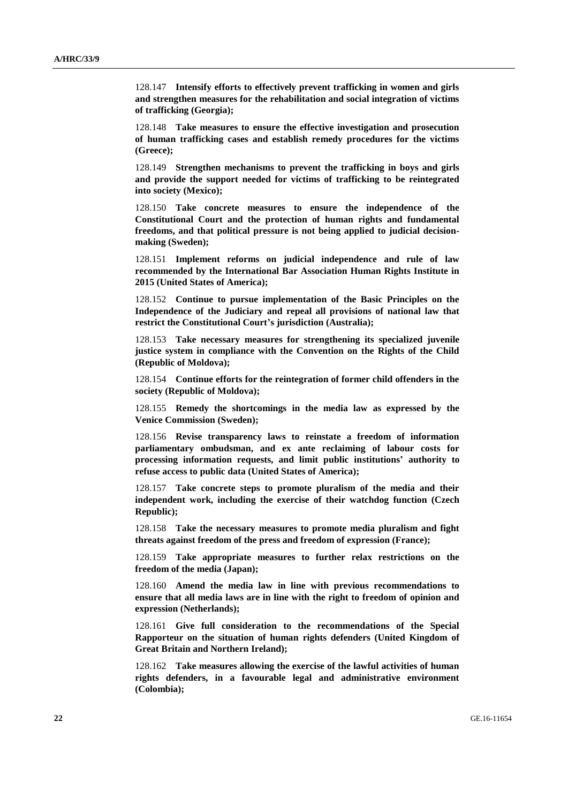128.147 **Intensify efforts to effectively prevent trafficking in women and girls and strengthen measures for the rehabilitation and social integration of victims of trafficking (Georgia);**

128.148 **Take measures to ensure the effective investigation and prosecution of human trafficking cases and establish remedy procedures for the victims (Greece);**

128.149 **Strengthen mechanisms to prevent the trafficking in boys and girls and provide the support needed for victims of trafficking to be reintegrated into society (Mexico);**

128.150 **Take concrete measures to ensure the independence of the Constitutional Court and the protection of human rights and fundamental freedoms, and that political pressure is not being applied to judicial decisionmaking (Sweden);**

128.151 **Implement reforms on judicial independence and rule of law recommended by the International Bar Association Human Rights Institute in 2015 (United States of America);**

128.152 **Continue to pursue implementation of the Basic Principles on the Independence of the Judiciary and repeal all provisions of national law that restrict the Constitutional Court's jurisdiction (Australia);**

128.153 **Take necessary measures for strengthening its specialized juvenile justice system in compliance with the Convention on the Rights of the Child (Republic of Moldova);**

128.154 **Continue efforts for the reintegration of former child offenders in the society (Republic of Moldova);**

128.155 **Remedy the shortcomings in the media law as expressed by the Venice Commission (Sweden);**

128.156 **Revise transparency laws to reinstate a freedom of information parliamentary ombudsman, and ex ante reclaiming of labour costs for processing information requests, and limit public institutions' authority to refuse access to public data (United States of America);**

128.157 **Take concrete steps to promote pluralism of the media and their independent work, including the exercise of their watchdog function (Czech Republic);**

128.158 **Take the necessary measures to promote media pluralism and fight threats against freedom of the press and freedom of expression (France);**

128.159 **Take appropriate measures to further relax restrictions on the freedom of the media (Japan);**

128.160 **Amend the media law in line with previous recommendations to ensure that all media laws are in line with the right to freedom of opinion and expression (Netherlands);**

128.161 **Give full consideration to the recommendations of the Special Rapporteur on the situation of human rights defenders (United Kingdom of Great Britain and Northern Ireland);**

128.162 **Take measures allowing the exercise of the lawful activities of human rights defenders, in a favourable legal and administrative environment (Colombia);**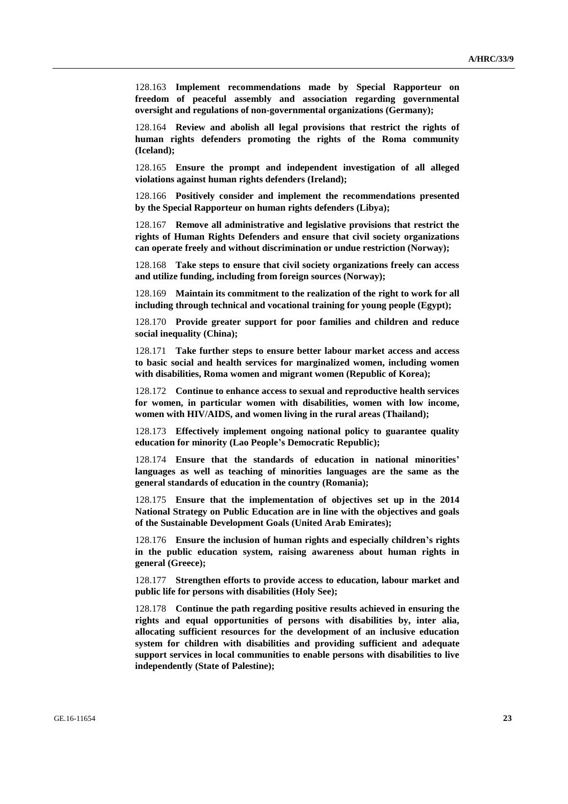128.163 **Implement recommendations made by Special Rapporteur on freedom of peaceful assembly and association regarding governmental oversight and regulations of non-governmental organizations (Germany);**

128.164 **Review and abolish all legal provisions that restrict the rights of human rights defenders promoting the rights of the Roma community (Iceland);**

128.165 **Ensure the prompt and independent investigation of all alleged violations against human rights defenders (Ireland);**

128.166 **Positively consider and implement the recommendations presented by the Special Rapporteur on human rights defenders (Libya);**

128.167 **Remove all administrative and legislative provisions that restrict the rights of Human Rights Defenders and ensure that civil society organizations can operate freely and without discrimination or undue restriction (Norway);**

128.168 **Take steps to ensure that civil society organizations freely can access and utilize funding, including from foreign sources (Norway);**

128.169 **Maintain its commitment to the realization of the right to work for all including through technical and vocational training for young people (Egypt);**

128.170 **Provide greater support for poor families and children and reduce social inequality (China);**

128.171 **Take further steps to ensure better labour market access and access to basic social and health services for marginalized women, including women with disabilities, Roma women and migrant women (Republic of Korea);**

128.172 **Continue to enhance access to sexual and reproductive health services for women, in particular women with disabilities, women with low income, women with HIV/AIDS, and women living in the rural areas (Thailand);**

128.173 **Effectively implement ongoing national policy to guarantee quality education for minority (Lao People's Democratic Republic);**

128.174 **Ensure that the standards of education in national minorities' languages as well as teaching of minorities languages are the same as the general standards of education in the country (Romania);**

128.175 **Ensure that the implementation of objectives set up in the 2014 National Strategy on Public Education are in line with the objectives and goals of the Sustainable Development Goals (United Arab Emirates);**

128.176 **Ensure the inclusion of human rights and especially children's rights in the public education system, raising awareness about human rights in general (Greece);**

128.177 **Strengthen efforts to provide access to education, labour market and public life for persons with disabilities (Holy See);**

128.178 **Continue the path regarding positive results achieved in ensuring the rights and equal opportunities of persons with disabilities by, inter alia, allocating sufficient resources for the development of an inclusive education system for children with disabilities and providing sufficient and adequate support services in local communities to enable persons with disabilities to live independently (State of Palestine);**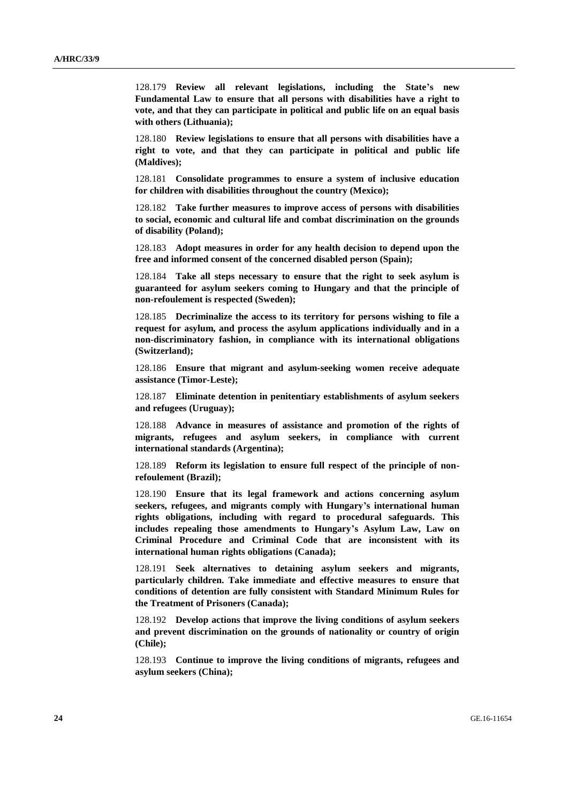128.179 **Review all relevant legislations, including the State's new Fundamental Law to ensure that all persons with disabilities have a right to vote, and that they can participate in political and public life on an equal basis with others (Lithuania);**

128.180 **Review legislations to ensure that all persons with disabilities have a right to vote, and that they can participate in political and public life (Maldives);**

128.181 **Consolidate programmes to ensure a system of inclusive education for children with disabilities throughout the country (Mexico);**

128.182 **Take further measures to improve access of persons with disabilities to social, economic and cultural life and combat discrimination on the grounds of disability (Poland);**

128.183 **Adopt measures in order for any health decision to depend upon the free and informed consent of the concerned disabled person (Spain);**

128.184 **Take all steps necessary to ensure that the right to seek asylum is guaranteed for asylum seekers coming to Hungary and that the principle of non-refoulement is respected (Sweden);**

128.185 **Decriminalize the access to its territory for persons wishing to file a request for asylum, and process the asylum applications individually and in a non-discriminatory fashion, in compliance with its international obligations (Switzerland);**

128.186 **Ensure that migrant and asylum-seeking women receive adequate assistance (Timor-Leste);**

128.187 **Eliminate detention in penitentiary establishments of asylum seekers and refugees (Uruguay);**

128.188 **Advance in measures of assistance and promotion of the rights of migrants, refugees and asylum seekers, in compliance with current international standards (Argentina);**

128.189 **Reform its legislation to ensure full respect of the principle of nonrefoulement (Brazil);**

128.190 **Ensure that its legal framework and actions concerning asylum seekers, refugees, and migrants comply with Hungary's international human rights obligations, including with regard to procedural safeguards. This includes repealing those amendments to Hungary's Asylum Law, Law on Criminal Procedure and Criminal Code that are inconsistent with its international human rights obligations (Canada);**

128.191 **Seek alternatives to detaining asylum seekers and migrants, particularly children. Take immediate and effective measures to ensure that conditions of detention are fully consistent with Standard Minimum Rules for the Treatment of Prisoners (Canada);**

128.192 **Develop actions that improve the living conditions of asylum seekers and prevent discrimination on the grounds of nationality or country of origin (Chile);**

128.193 **Continue to improve the living conditions of migrants, refugees and asylum seekers (China);**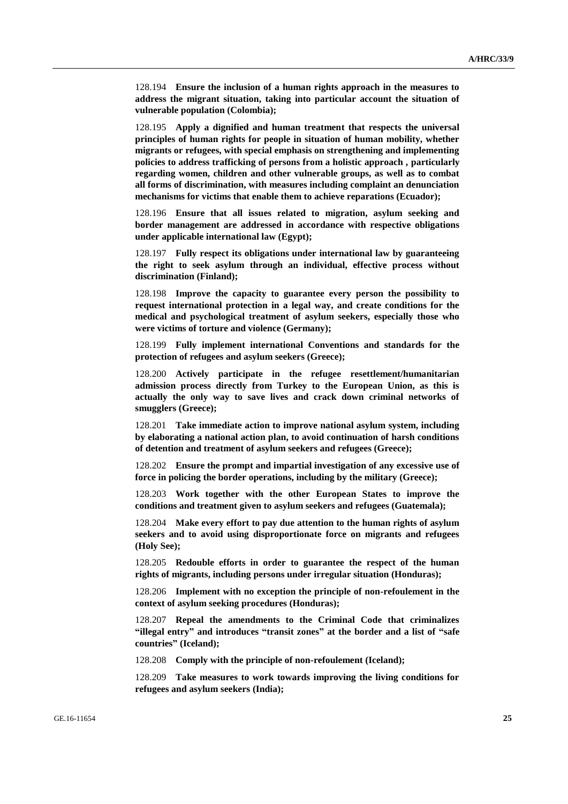128.194 **Ensure the inclusion of a human rights approach in the measures to address the migrant situation, taking into particular account the situation of vulnerable population (Colombia);**

128.195 **Apply a dignified and human treatment that respects the universal principles of human rights for people in situation of human mobility, whether migrants or refugees, with special emphasis on strengthening and implementing policies to address trafficking of persons from a holistic approach , particularly regarding women, children and other vulnerable groups, as well as to combat all forms of discrimination, with measures including complaint an denunciation mechanisms for victims that enable them to achieve reparations (Ecuador);**

128.196 **Ensure that all issues related to migration, asylum seeking and border management are addressed in accordance with respective obligations under applicable international law (Egypt);**

128.197 **Fully respect its obligations under international law by guaranteeing the right to seek asylum through an individual, effective process without discrimination (Finland);**

128.198 **Improve the capacity to guarantee every person the possibility to request international protection in a legal way, and create conditions for the medical and psychological treatment of asylum seekers, especially those who were victims of torture and violence (Germany);**

128.199 **Fully implement international Conventions and standards for the protection of refugees and asylum seekers (Greece);**

128.200 **Actively participate in the refugee resettlement/humanitarian admission process directly from Turkey to the European Union, as this is actually the only way to save lives and crack down criminal networks of smugglers (Greece);**

128.201 **Take immediate action to improve national asylum system, including by elaborating a national action plan, to avoid continuation of harsh conditions of detention and treatment of asylum seekers and refugees (Greece);**

128.202 **Ensure the prompt and impartial investigation of any excessive use of force in policing the border operations, including by the military (Greece);**

128.203 **Work together with the other European States to improve the conditions and treatment given to asylum seekers and refugees (Guatemala);**

128.204 **Make every effort to pay due attention to the human rights of asylum seekers and to avoid using disproportionate force on migrants and refugees (Holy See);**

128.205 **Redouble efforts in order to guarantee the respect of the human rights of migrants, including persons under irregular situation (Honduras);**

128.206 **Implement with no exception the principle of non-refoulement in the context of asylum seeking procedures (Honduras);**

128.207 **Repeal the amendments to the Criminal Code that criminalizes "illegal entry" and introduces "transit zones" at the border and a list of "safe countries" (Iceland);**

128.208 **Comply with the principle of non-refoulement (Iceland);**

128.209 **Take measures to work towards improving the living conditions for refugees and asylum seekers (India);**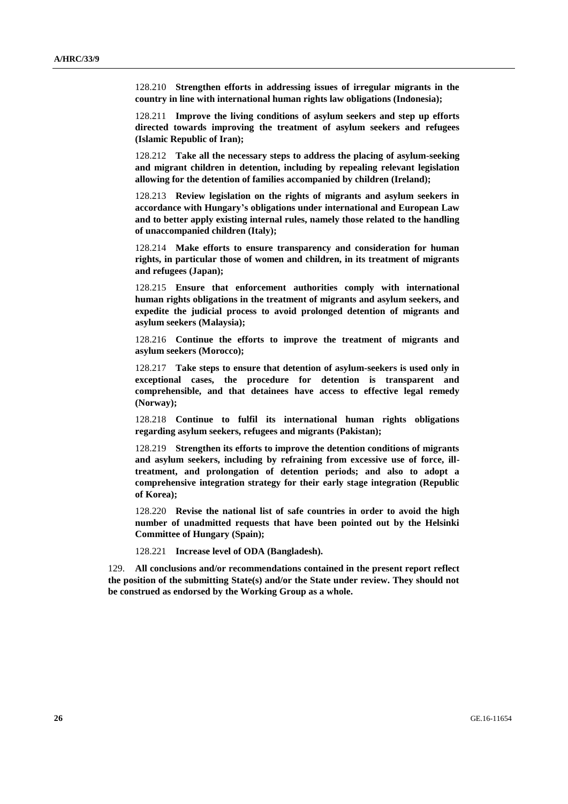128.210 **Strengthen efforts in addressing issues of irregular migrants in the country in line with international human rights law obligations (Indonesia);**

128.211 **Improve the living conditions of asylum seekers and step up efforts directed towards improving the treatment of asylum seekers and refugees (Islamic Republic of Iran);**

128.212 **Take all the necessary steps to address the placing of asylum-seeking and migrant children in detention, including by repealing relevant legislation allowing for the detention of families accompanied by children (Ireland);**

128.213 **Review legislation on the rights of migrants and asylum seekers in accordance with Hungary's obligations under international and European Law and to better apply existing internal rules, namely those related to the handling of unaccompanied children (Italy);**

128.214 **Make efforts to ensure transparency and consideration for human rights, in particular those of women and children, in its treatment of migrants and refugees (Japan);**

128.215 **Ensure that enforcement authorities comply with international human rights obligations in the treatment of migrants and asylum seekers, and expedite the judicial process to avoid prolonged detention of migrants and asylum seekers (Malaysia);**

128.216 **Continue the efforts to improve the treatment of migrants and asylum seekers (Morocco);**

128.217 **Take steps to ensure that detention of asylum-seekers is used only in exceptional cases, the procedure for detention is transparent and comprehensible, and that detainees have access to effective legal remedy (Norway);**

128.218 **Continue to fulfil its international human rights obligations regarding asylum seekers, refugees and migrants (Pakistan);**

128.219 **Strengthen its efforts to improve the detention conditions of migrants and asylum seekers, including by refraining from excessive use of force, illtreatment, and prolongation of detention periods; and also to adopt a comprehensive integration strategy for their early stage integration (Republic of Korea);**

128.220 **Revise the national list of safe countries in order to avoid the high number of unadmitted requests that have been pointed out by the Helsinki Committee of Hungary (Spain);**

128.221 **Increase level of ODA (Bangladesh).**

129. **All conclusions and/or recommendations contained in the present report reflect the position of the submitting State(s) and/or the State under review. They should not be construed as endorsed by the Working Group as a whole.**